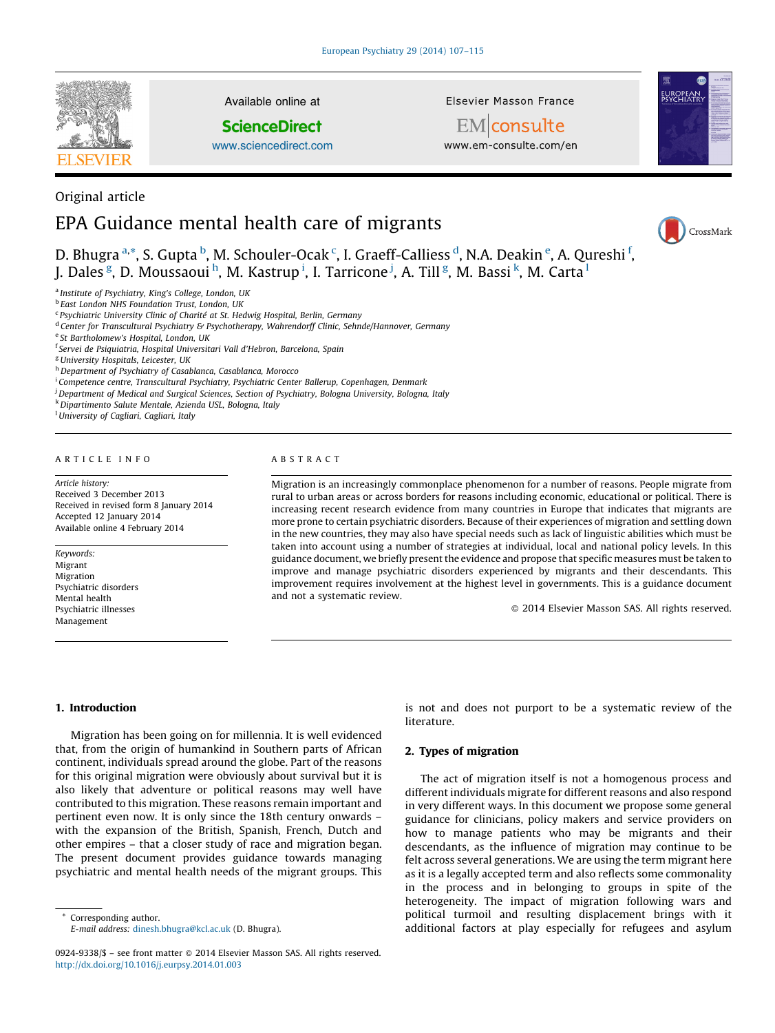

Original article

Available online at

**ScienceDirect** 

[www.sciencedirect.com](http://www.sciencedirect.com/science/journal/09249338)

Elsevier Masson France



 $\bigcup$  CrossMark

EM|consulte www.em-consulte.com/en

# EPA Guidance mental health care of migrants

D. Bhugra <sup>a,</sup>\*, S. Gupta <sup>b</sup>, M. Schouler-Ocak <sup>c</sup>, I. Graeff-Calliess <sup>d</sup>, N.A. Deakin <sup>e</sup>, A. Qureshi <sup>f</sup>, J. Dales <sup>g</sup>, D. Moussaoui <sup>h</sup>, M. Kastrup <sup>i</sup>, I. Tarricone <sup>j</sup>, A. Till <sup>g</sup>, M. Bassi <sup>k</sup>, M. Carta <sup>l</sup>

<sup>a</sup> Institute of Psychiatry, King's College, London, UK

**b East London NHS Foundation Trust, London, UK** 

<sup>c</sup> Psychiatric University Clinic of Charité at St. Hedwig Hospital, Berlin, Germany

<sup>d</sup> Center for Transcultural Psychiatry & Psychotherapy, Wahrendorff Clinic, Sehnde/Hannover, Germany

<sup>e</sup> St Bartholomew's Hospital, London, UK

<sup>f</sup> Servei de Psiquiatria, Hospital Universitari Vall d'Hebron, Barcelona, Spain

<sup>g</sup> University Hospitals, Leicester, UK

h Department of Psychiatry of Casablanca, Casablanca, Morocco

<sup>i</sup> Competence centre, Transcultural Psychiatry, Psychiatric Center Ballerup, Copenhagen, Denmark

<sup>j</sup> Department of Medical and Surgical Sciences, Section of Psychiatry, Bologna University, Bologna, Italy

<sup>k</sup>Dipartimento Salute Mentale, Azienda USL, Bologna, Italy

l University of Cagliari, Cagliari, Italy

# A R T I C L E I N F O

Article history: Received 3 December 2013 Received in revised form 8 January 2014 Accepted 12 January 2014 Available online 4 February 2014

Keywords: Migrant Migration Psychiatric disorders Mental health Psychiatric illnesses Management

#### A B S T R A C T

Migration is an increasingly commonplace phenomenon for a number of reasons. People migrate from rural to urban areas or across borders for reasons including economic, educational or political. There is increasing recent research evidence from many countries in Europe that indicates that migrants are more prone to certain psychiatric disorders. Because of their experiences of migration and settling down in the new countries, they may also have special needs such as lack of linguistic abilities which must be taken into account using a number of strategies at individual, local and national policy levels. In this guidance document, we briefly present the evidence and propose that specific measures must be taken to improve and manage psychiatric disorders experienced by migrants and their descendants. This improvement requires involvement at the highest level in governments. This is a guidance document and not a systematic review.

 $\odot$  2014 Elsevier Masson SAS. All rights reserved.

# 1. Introduction

Migration has been going on for millennia. It is well evidenced that, from the origin of humankind in Southern parts of African continent, individuals spread around the globe. Part of the reasons for this original migration were obviously about survival but it is also likely that adventure or political reasons may well have contributed to this migration. These reasons remain important and pertinent even now. It is only since the 18th century onwards – with the expansion of the British, Spanish, French, Dutch and other empires – that a closer study of race and migration began. The present document provides guidance towards managing psychiatric and mental health needs of the migrant groups. This

Corresponding author. E-mail address: [dinesh.bhugra@kcl.ac.uk](mailto:dinesh.bhugra@kcl.ac.uk) (D. Bhugra). is not and does not purport to be a systematic review of the literature.

# 2. Types of migration

The act of migration itself is not a homogenous process and different individuals migrate for different reasons and also respond in very different ways. In this document we propose some general guidance for clinicians, policy makers and service providers on how to manage patients who may be migrants and their descendants, as the influence of migration may continue to be felt across several generations. We are using the term migrant here as it is a legally accepted term and also reflects some commonality in the process and in belonging to groups in spite of the heterogeneity. The impact of migration following wars and political turmoil and resulting displacement brings with it additional factors at play especially for refugees and asylum

<sup>0924-9338/\$ –</sup> see front matter © 2014 Elsevier Masson SAS. All rights reserved. <http://dx.doi.org/10.1016/j.eurpsy.2014.01.003>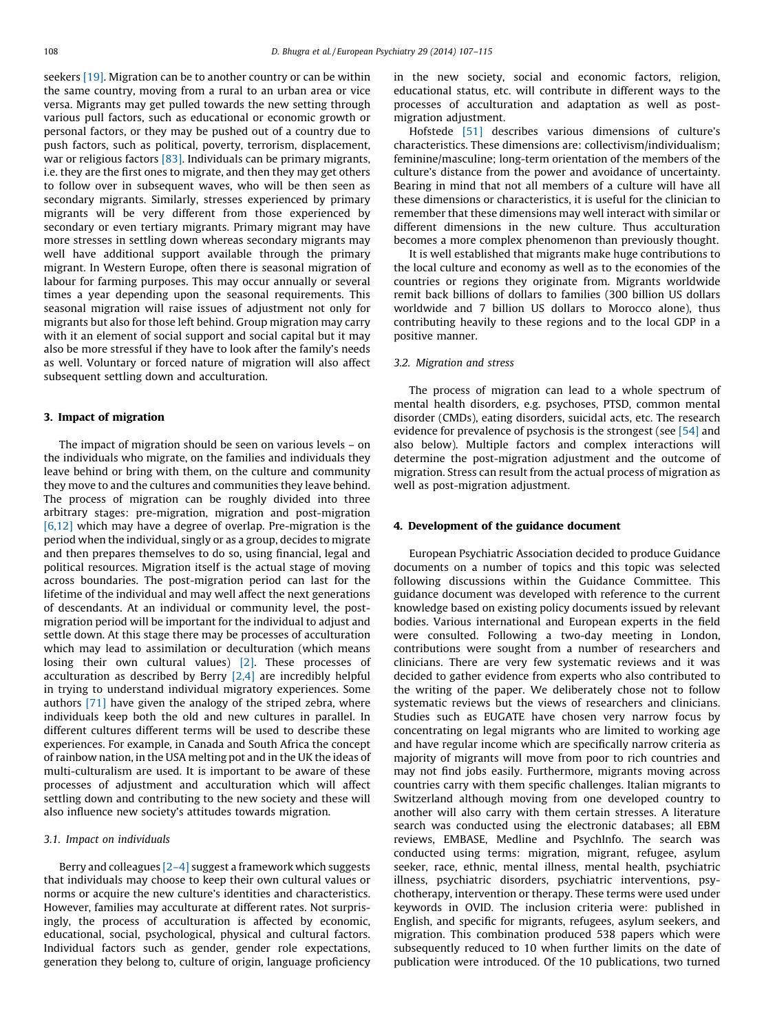seekers [\[19\].](#page-7-0) Migration can be to another country or can be within the same country, moving from a rural to an urban area or vice versa. Migrants may get pulled towards the new setting through various pull factors, such as educational or economic growth or personal factors, or they may be pushed out of a country due to push factors, such as political, poverty, terrorism, displacement, war or religious factors [\[83\]](#page-8-0). Individuals can be primary migrants, i.e. they are the first ones to migrate, and then they may get others to follow over in subsequent waves, who will be then seen as secondary migrants. Similarly, stresses experienced by primary migrants will be very different from those experienced by secondary or even tertiary migrants. Primary migrant may have more stresses in settling down whereas secondary migrants may well have additional support available through the primary migrant. In Western Europe, often there is seasonal migration of labour for farming purposes. This may occur annually or several times a year depending upon the seasonal requirements. This seasonal migration will raise issues of adjustment not only for migrants but also for those left behind. Group migration may carry with it an element of social support and social capital but it may also be more stressful if they have to look after the family's needs as well. Voluntary or forced nature of migration will also affect subsequent settling down and acculturation.

# 3. Impact of migration

The impact of migration should be seen on various levels – on the individuals who migrate, on the families and individuals they leave behind or bring with them, on the culture and community they move to and the cultures and communities they leave behind. The process of migration can be roughly divided into three arbitrary stages: pre-migration, migration and post-migration [\[6,12\]](#page-7-0) which may have a degree of overlap. Pre-migration is the period when the individual, singly or as a group, decides to migrate and then prepares themselves to do so, using financial, legal and political resources. Migration itself is the actual stage of moving across boundaries. The post-migration period can last for the lifetime of the individual and may well affect the next generations of descendants. At an individual or community level, the postmigration period will be important for the individual to adjust and settle down. At this stage there may be processes of acculturation which may lead to assimilation or deculturation (which means losing their own cultural values) [\[2\]](#page-7-0). These processes of acculturation as described by Berry [\[2,4\]](#page-7-0) are incredibly helpful in trying to understand individual migratory experiences. Some authors [\[71\]](#page-8-0) have given the analogy of the striped zebra, where individuals keep both the old and new cultures in parallel. In different cultures different terms will be used to describe these experiences. For example, in Canada and South Africa the concept of rainbow nation, in the USA melting pot and in the UK the ideas of multi-culturalism are used. It is important to be aware of these processes of adjustment and acculturation which will affect settling down and contributing to the new society and these will also influence new society's attitudes towards migration.

#### 3.1. Impact on individuals

Berry and colleagues  $[2-4]$  suggest a framework which suggests that individuals may choose to keep their own cultural values or norms or acquire the new culture's identities and characteristics. However, families may acculturate at different rates. Not surprisingly, the process of acculturation is affected by economic, educational, social, psychological, physical and cultural factors. Individual factors such as gender, gender role expectations, generation they belong to, culture of origin, language proficiency in the new society, social and economic factors, religion, educational status, etc. will contribute in different ways to the processes of acculturation and adaptation as well as postmigration adjustment.

Hofstede [\[51\]](#page-7-0) describes various dimensions of culture's characteristics. These dimensions are: collectivism/individualism; feminine/masculine; long-term orientation of the members of the culture's distance from the power and avoidance of uncertainty. Bearing in mind that not all members of a culture will have all these dimensions or characteristics, it is useful for the clinician to remember that these dimensions may well interact with similar or different dimensions in the new culture. Thus acculturation becomes a more complex phenomenon than previously thought.

It is well established that migrants make huge contributions to the local culture and economy as well as to the economies of the countries or regions they originate from. Migrants worldwide remit back billions of dollars to families (300 billion US dollars worldwide and 7 billion US dollars to Morocco alone), thus contributing heavily to these regions and to the local GDP in a positive manner.

#### 3.2. Migration and stress

The process of migration can lead to a whole spectrum of mental health disorders, e.g. psychoses, PTSD, common mental disorder (CMDs), eating disorders, suicidal acts, etc. The research evidence for prevalence of psychosis is the strongest (see [\[54\]](#page-7-0) and also below). Multiple factors and complex interactions will determine the post-migration adjustment and the outcome of migration. Stress can result from the actual process of migration as well as post-migration adjustment.

#### 4. Development of the guidance document

European Psychiatric Association decided to produce Guidance documents on a number of topics and this topic was selected following discussions within the Guidance Committee. This guidance document was developed with reference to the current knowledge based on existing policy documents issued by relevant bodies. Various international and European experts in the field were consulted. Following a two-day meeting in London, contributions were sought from a number of researchers and clinicians. There are very few systematic reviews and it was decided to gather evidence from experts who also contributed to the writing of the paper. We deliberately chose not to follow systematic reviews but the views of researchers and clinicians. Studies such as EUGATE have chosen very narrow focus by concentrating on legal migrants who are limited to working age and have regular income which are specifically narrow criteria as majority of migrants will move from poor to rich countries and may not find jobs easily. Furthermore, migrants moving across countries carry with them specific challenges. Italian migrants to Switzerland although moving from one developed country to another will also carry with them certain stresses. A literature search was conducted using the electronic databases; all EBM reviews, EMBASE, Medline and PsychInfo. The search was conducted using terms: migration, migrant, refugee, asylum seeker, race, ethnic, mental illness, mental health, psychiatric illness, psychiatric disorders, psychiatric interventions, psychotherapy, intervention or therapy. These terms were used under keywords in OVID. The inclusion criteria were: published in English, and specific for migrants, refugees, asylum seekers, and migration. This combination produced 538 papers which were subsequently reduced to 10 when further limits on the date of publication were introduced. Of the 10 publications, two turned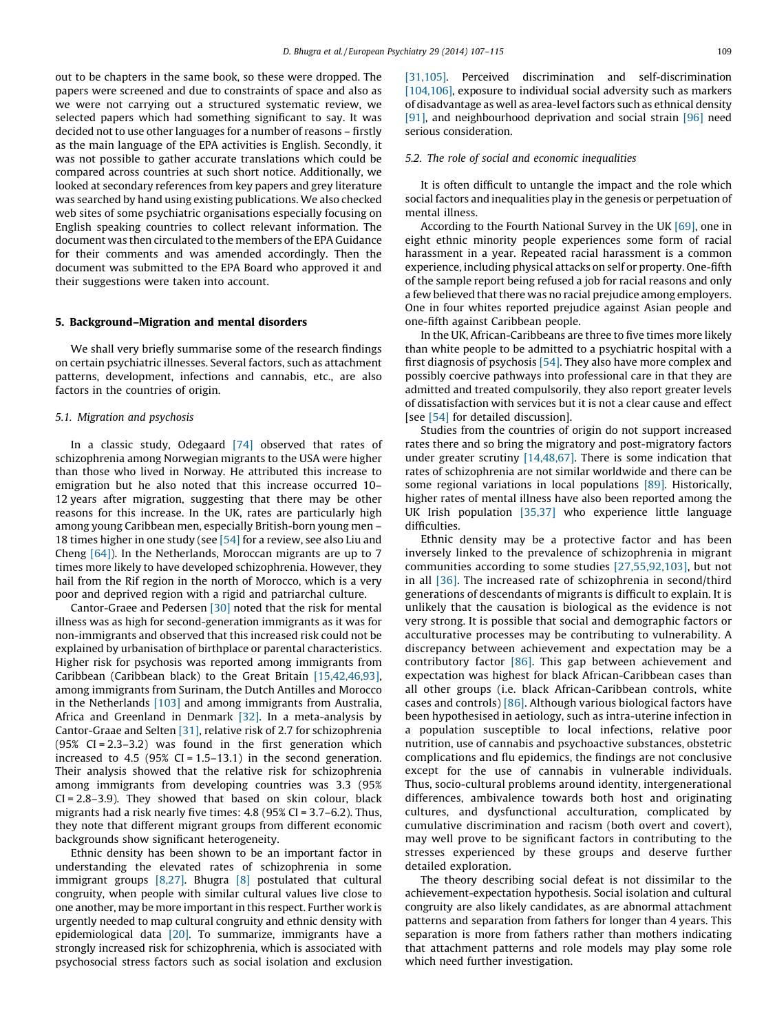out to be chapters in the same book, so these were dropped. The papers were screened and due to constraints of space and also as we were not carrying out a structured systematic review, we selected papers which had something significant to say. It was decided not to use other languages for a number of reasons – firstly as the main language of the EPA activities is English. Secondly, it was not possible to gather accurate translations which could be compared across countries at such short notice. Additionally, we looked at secondary references from key papers and grey literature was searched by hand using existing publications. We also checked web sites of some psychiatric organisations especially focusing on English speaking countries to collect relevant information. The document was then circulated to the members of the EPA Guidance for their comments and was amended accordingly. Then the document was submitted to the EPA Board who approved it and their suggestions were taken into account.

#### 5. Background–Migration and mental disorders

We shall very briefly summarise some of the research findings on certain psychiatric illnesses. Several factors, such as attachment patterns, development, infections and cannabis, etc., are also factors in the countries of origin.

## 5.1. Migration and psychosis

In a classic study, Odegaard [\[74\]](#page-8-0) observed that rates of schizophrenia among Norwegian migrants to the USA were higher than those who lived in Norway. He attributed this increase to emigration but he also noted that this increase occurred 10– 12 years after migration, suggesting that there may be other reasons for this increase. In the UK, rates are particularly high among young Caribbean men, especially British-born young men – 18 times higher in one study (see [\[54\]](#page-7-0) for a review, see also Liu and Cheng [\[64\]](#page-8-0)). In the Netherlands, Moroccan migrants are up to 7 times more likely to have developed schizophrenia. However, they hail from the Rif region in the north of Morocco, which is a very poor and deprived region with a rigid and patriarchal culture.

Cantor-Graee and Pedersen [\[30\]](#page-7-0) noted that the risk for mental illness was as high for second-generation immigrants as it was for non-immigrants and observed that this increased risk could not be explained by urbanisation of birthplace or parental characteristics. Higher risk for psychosis was reported among immigrants from Caribbean (Caribbean black) to the Great Britain [\[15,42,46,93\],](#page-7-0) among immigrants from Surinam, the Dutch Antilles and Morocco in the Netherlands [\[103\]](#page-8-0) and among immigrants from Australia, Africa and Greenland in Denmark [\[32\]](#page-7-0). In a meta-analysis by Cantor-Graae and Selten [\[31\]](#page-7-0), relative risk of 2.7 for schizophrenia  $(95\% \text{ CI} = 2.3 - 3.2)$  was found in the first generation which increased to 4.5 (95% CI =  $1.5-13.1$ ) in the second generation. Their analysis showed that the relative risk for schizophrenia among immigrants from developing countries was 3.3 (95%  $CI = 2.8 - 3.9$ ). They showed that based on skin colour, black migrants had a risk nearly five times: 4.8 (95% CI = 3.7–6.2). Thus, they note that different migrant groups from different economic backgrounds show significant heterogeneity.

Ethnic density has been shown to be an important factor in understanding the elevated rates of schizophrenia in some immigrant groups [\[8,27\].](#page-7-0) Bhugra [\[8\]](#page-7-0) postulated that cultural congruity, when people with similar cultural values live close to one another, may be more important in this respect. Further work is urgently needed to map cultural congruity and ethnic density with epidemiological data [\[20\]](#page-7-0). To summarize, immigrants have a strongly increased risk for schizophrenia, which is associated with psychosocial stress factors such as social isolation and exclusion [\[31,105\].](#page-7-0) Perceived discrimination and self-discrimination [\[104,106\],](#page-8-0) exposure to individual social adversity such as markers of disadvantage as well as area-level factors such as ethnical density [\[91\],](#page-8-0) and neighbourhood deprivation and social strain [\[96\]](#page-8-0) need serious consideration.

## 5.2. The role of social and economic inequalities

It is often difficult to untangle the impact and the role which social factors and inequalities play in the genesis or perpetuation of mental illness.

According to the Fourth National Survey in the UK [\[69\]](#page-8-0), one in eight ethnic minority people experiences some form of racial harassment in a year. Repeated racial harassment is a common experience, including physical attacks on self or property. One-fifth of the sample report being refused a job for racial reasons and only a few believed that there was no racial prejudice among employers. One in four whites reported prejudice against Asian people and one-fifth against Caribbean people.

In the UK, African-Caribbeans are three to five times more likely than white people to be admitted to a psychiatric hospital with a first diagnosis of psychosis [\[54\]](#page-7-0). They also have more complex and possibly coercive pathways into professional care in that they are admitted and treated compulsorily, they also report greater levels of dissatisfaction with services but it is not a clear cause and effect [see [\[54\]](#page-7-0) for detailed discussion].

Studies from the countries of origin do not support increased rates there and so bring the migratory and post-migratory factors under greater scrutiny [\[14,48,67\].](#page-7-0) There is some indication that rates of schizophrenia are not similar worldwide and there can be some regional variations in local populations [\[89\].](#page-8-0) Historically, higher rates of mental illness have also been reported among the UK Irish population [\[35,37\]](#page-7-0) who experience little language difficulties.

Ethnic density may be a protective factor and has been inversely linked to the prevalence of schizophrenia in migrant communities according to some studies [\[27,55,92,103\],](#page-7-0) but not in all [\[36\]](#page-7-0). The increased rate of schizophrenia in second/third generations of descendants of migrants is difficult to explain. It is unlikely that the causation is biological as the evidence is not very strong. It is possible that social and demographic factors or acculturative processes may be contributing to vulnerability. A discrepancy between achievement and expectation may be a contributory factor [\[86\].](#page-8-0) This gap between achievement and expectation was highest for black African-Caribbean cases than all other groups (i.e. black African-Caribbean controls, white cases and controls) [\[86\]](#page-8-0). Although various biological factors have been hypothesised in aetiology, such as intra-uterine infection in a population susceptible to local infections, relative poor nutrition, use of cannabis and psychoactive substances, obstetric complications and flu epidemics, the findings are not conclusive except for the use of cannabis in vulnerable individuals. Thus, socio-cultural problems around identity, intergenerational differences, ambivalence towards both host and originating cultures, and dysfunctional acculturation, complicated by cumulative discrimination and racism (both overt and covert), may well prove to be significant factors in contributing to the stresses experienced by these groups and deserve further detailed exploration.

The theory describing social defeat is not dissimilar to the achievement-expectation hypothesis. Social isolation and cultural congruity are also likely candidates, as are abnormal attachment patterns and separation from fathers for longer than 4 years. This separation is more from fathers rather than mothers indicating that attachment patterns and role models may play some role which need further investigation.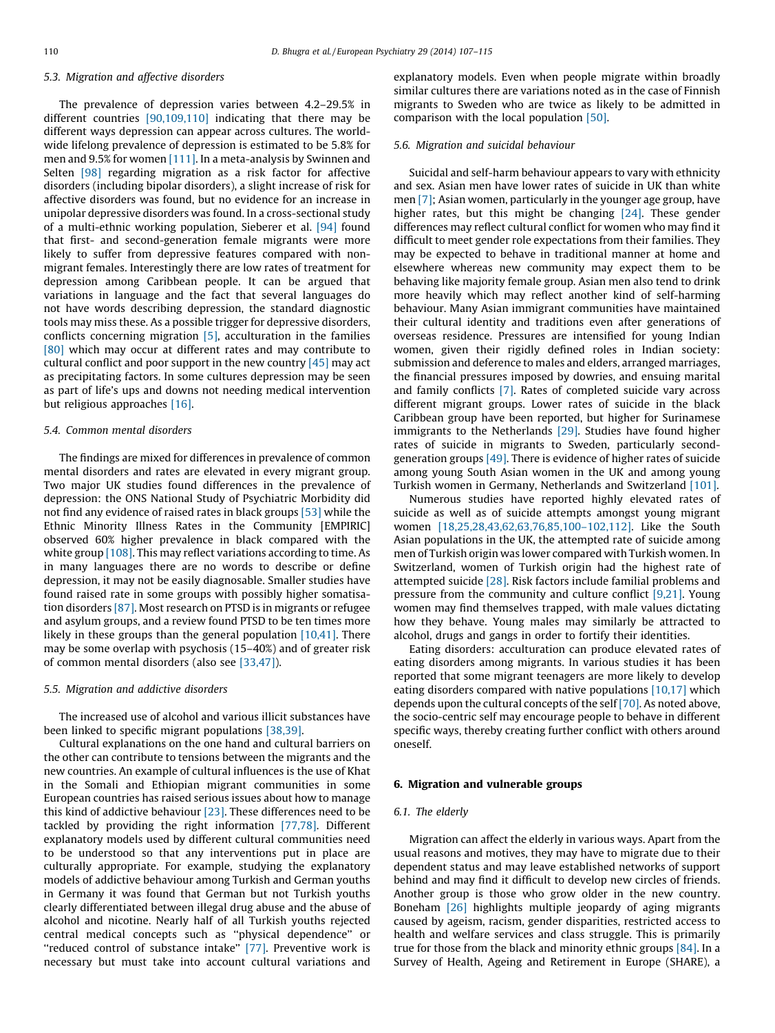# 5.3. Migration and affective disorders

The prevalence of depression varies between 4.2–29.5% in different countries [\[90,109,110\]](#page-8-0) indicating that there may be different ways depression can appear across cultures. The worldwide lifelong prevalence of depression is estimated to be 5.8% for men and 9.5% for women [\[111\]](#page-8-0). In a meta-analysis by Swinnen and Selten [\[98\]](#page-8-0) regarding migration as a risk factor for affective disorders (including bipolar disorders), a slight increase of risk for affective disorders was found, but no evidence for an increase in unipolar depressive disorders was found. In a cross-sectional study of a multi-ethnic working population, Sieberer et al. [\[94\]](#page-8-0) found that first- and second-generation female migrants were more likely to suffer from depressive features compared with nonmigrant females. Interestingly there are low rates of treatment for depression among Caribbean people. It can be argued that variations in language and the fact that several languages do not have words describing depression, the standard diagnostic tools may miss these. As a possible trigger for depressive disorders, conflicts concerning migration  $[5]$ , acculturation in the families [\[80\]](#page-8-0) which may occur at different rates and may contribute to cultural conflict and poor support in the new country  $[45]$  may act as precipitating factors. In some cultures depression may be seen as part of life's ups and downs not needing medical intervention but religious approaches [\[16\]](#page-7-0).

# 5.4. Common mental disorders

The findings are mixed for differences in prevalence of common mental disorders and rates are elevated in every migrant group. Two major UK studies found differences in the prevalence of depression: the ONS National Study of Psychiatric Morbidity did not find any evidence of raised rates in black groups [\[53\]](#page-7-0) while the Ethnic Minority Illness Rates in the Community [EMPIRIC] observed 60% higher prevalence in black compared with the white group  $[108]$ . This may reflect variations according to time. As in many languages there are no words to describe or define depression, it may not be easily diagnosable. Smaller studies have found raised rate in some groups with possibly higher somatisation disorders [\[87\]](#page-8-0). Most research on PTSD is in migrants or refugee and asylum groups, and a review found PTSD to be ten times more likely in these groups than the general population [\[10,41\]](#page-7-0). There may be some overlap with psychosis (15–40%) and of greater risk of common mental disorders (also see [\[33,47\]\)](#page-7-0).

#### 5.5. Migration and addictive disorders

The increased use of alcohol and various illicit substances have been linked to specific migrant populations [\[38,39\].](#page-7-0)

Cultural explanations on the one hand and cultural barriers on the other can contribute to tensions between the migrants and the new countries. An example of cultural influences is the use of Khat in the Somali and Ethiopian migrant communities in some European countries has raised serious issues about how to manage this kind of addictive behaviour [\[23\].](#page-7-0) These differences need to be tackled by providing the right information [\[77,78\]](#page-8-0). Different explanatory models used by different cultural communities need to be understood so that any interventions put in place are culturally appropriate. For example, studying the explanatory models of addictive behaviour among Turkish and German youths in Germany it was found that German but not Turkish youths clearly differentiated between illegal drug abuse and the abuse of alcohol and nicotine. Nearly half of all Turkish youths rejected central medical concepts such as ''physical dependence'' or "reduced control of substance intake" [\[77\]](#page-8-0). Preventive work is necessary but must take into account cultural variations and explanatory models. Even when people migrate within broadly similar cultures there are variations noted as in the case of Finnish migrants to Sweden who are twice as likely to be admitted in comparison with the local population [\[50\]](#page-7-0).

#### 5.6. Migration and suicidal behaviour

Suicidal and self-harm behaviour appears to vary with ethnicity and sex. Asian men have lower rates of suicide in UK than white men [\[7\]](#page-7-0); Asian women, particularly in the younger age group, have higher rates, but this might be changing [\[24\]](#page-7-0). These gender differences may reflect cultural conflict for women who may find it difficult to meet gender role expectations from their families. They may be expected to behave in traditional manner at home and elsewhere whereas new community may expect them to be behaving like majority female group. Asian men also tend to drink more heavily which may reflect another kind of self-harming behaviour. Many Asian immigrant communities have maintained their cultural identity and traditions even after generations of overseas residence. Pressures are intensified for young Indian women, given their rigidly defined roles in Indian society: submission and deference to males and elders, arranged marriages, the financial pressures imposed by dowries, and ensuing marital and family conflicts [\[7\].](#page-7-0) Rates of completed suicide vary across different migrant groups. Lower rates of suicide in the black Caribbean group have been reported, but higher for Surinamese immigrants to the Netherlands [\[29\]](#page-7-0). Studies have found higher rates of suicide in migrants to Sweden, particularly secondgeneration groups [\[49\]](#page-7-0). There is evidence of higher rates of suicide among young South Asian women in the UK and among young Turkish women in Germany, Netherlands and Switzerland [\[101\].](#page-8-0)

Numerous studies have reported highly elevated rates of suicide as well as of suicide attempts amongst young migrant women [\[18,25,28,43,62,63,76,85,100–102,112\]](#page-7-0). Like the South Asian populations in the UK, the attempted rate of suicide among men of Turkish origin was lower compared with Turkish women. In Switzerland, women of Turkish origin had the highest rate of attempted suicide [\[28\]](#page-7-0). Risk factors include familial problems and pressure from the community and culture conflict [\[9,21\]](#page-7-0). Young women may find themselves trapped, with male values dictating how they behave. Young males may similarly be attracted to alcohol, drugs and gangs in order to fortify their identities.

Eating disorders: acculturation can produce elevated rates of eating disorders among migrants. In various studies it has been reported that some migrant teenagers are more likely to develop eating disorders compared with native populations [\[10,17\]](#page-7-0) which depends upon the cultural concepts of the self  $[70]$ . As noted above, the socio-centric self may encourage people to behave in different specific ways, thereby creating further conflict with others around oneself.

## 6. Migration and vulnerable groups

## 6.1. The elderly

Migration can affect the elderly in various ways. Apart from the usual reasons and motives, they may have to migrate due to their dependent status and may leave established networks of support behind and may find it difficult to develop new circles of friends. Another group is those who grow older in the new country. Boneham [\[26\]](#page-7-0) highlights multiple jeopardy of aging migrants caused by ageism, racism, gender disparities, restricted access to health and welfare services and class struggle. This is primarily true for those from the black and minority ethnic groups [\[84\].](#page-8-0) In a Survey of Health, Ageing and Retirement in Europe (SHARE), a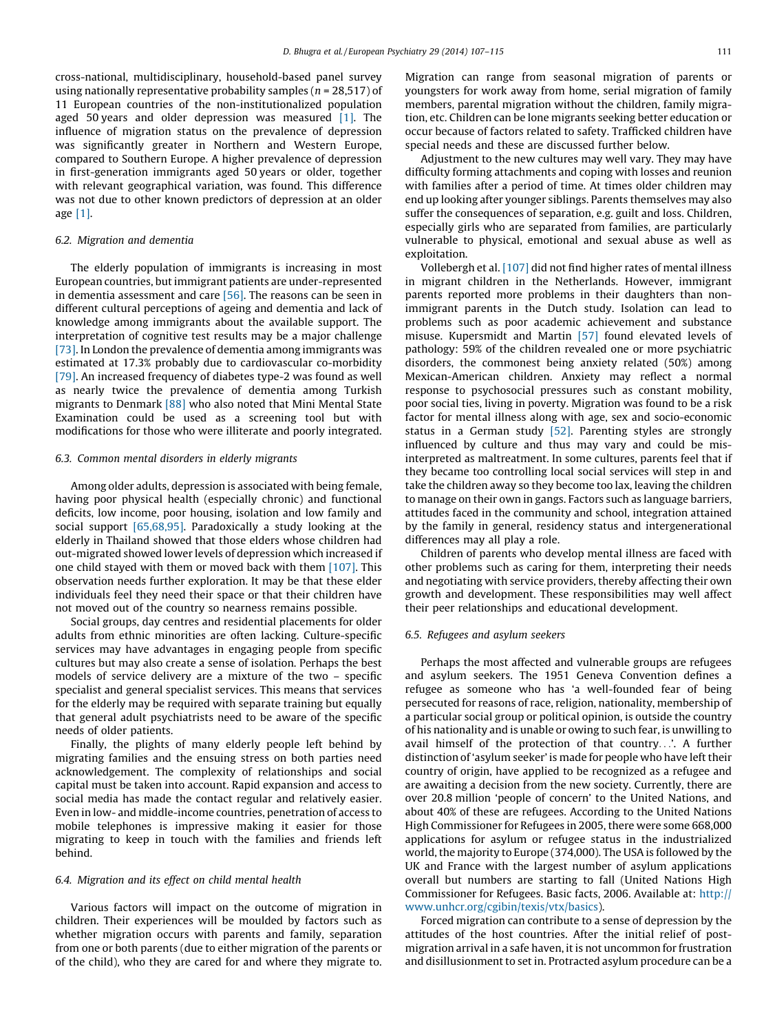cross-national, multidisciplinary, household-based panel survey using nationally representative probability samples ( $n = 28,517$ ) of 11 European countries of the non-institutionalized population aged 50 years and older depression was measured  $[1]$ . The influence of migration status on the prevalence of depression was significantly greater in Northern and Western Europe, compared to Southern Europe. A higher prevalence of depression in first-generation immigrants aged 50 years or older, together with relevant geographical variation, was found. This difference was not due to other known predictors of depression at an older age [\[1\]](#page-7-0).

## 6.2. Migration and dementia

The elderly population of immigrants is increasing in most European countries, butimmigrant patients are under-represented in dementia assessment and care [\[56\]](#page-7-0). The reasons can be seen in different cultural perceptions of ageing and dementia and lack of knowledge among immigrants about the available support. The interpretation of cognitive test results may be a major challenge [\[73\]](#page-8-0). In London the prevalence of dementia among immigrants was estimated at 17.3% probably due to cardiovascular co-morbidity [\[79\]](#page-8-0). An increased frequency of diabetes type-2 was found as well as nearly twice the prevalence of dementia among Turkish migrants to Denmark [\[88\]](#page-8-0) who also noted that Mini Mental State Examination could be used as a screening tool but with modifications for those who were illiterate and poorly integrated.

## 6.3. Common mental disorders in elderly migrants

Among older adults, depression is associated with being female, having poor physical health (especially chronic) and functional deficits, low income, poor housing, isolation and low family and social support [\[65,68,95\]](#page-8-0). Paradoxically a study looking at the elderly in Thailand showed that those elders whose children had out-migrated showed lower levels of depression which increased if one child stayed with them or moved back with them [\[107\]](#page-8-0). This observation needs further exploration. It may be that these elder individuals feel they need their space or that their children have not moved out of the country so nearness remains possible.

Social groups, day centres and residential placements for older adults from ethnic minorities are often lacking. Culture-specific services may have advantages in engaging people from specific cultures but may also create a sense of isolation. Perhaps the best models of service delivery are a mixture of the two – specific specialist and general specialist services. This means that services for the elderly may be required with separate training but equally that general adult psychiatrists need to be aware of the specific needs of older patients.

Finally, the plights of many elderly people left behind by migrating families and the ensuing stress on both parties need acknowledgement. The complexity of relationships and social capital must be taken into account. Rapid expansion and access to social media has made the contact regular and relatively easier. Even in low- and middle-income countries, penetration of access to mobile telephones is impressive making it easier for those migrating to keep in touch with the families and friends left behind.

# 6.4. Migration and its effect on child mental health

Various factors will impact on the outcome of migration in children. Their experiences will be moulded by factors such as whether migration occurs with parents and family, separation from one or both parents (due to either migration of the parents or of the child), who they are cared for and where they migrate to. Migration can range from seasonal migration of parents or youngsters for work away from home, serial migration of family members, parental migration without the children, family migration, etc. Children can be lone migrants seeking better education or occur because of factors related to safety. Trafficked children have special needs and these are discussed further below.

Adjustment to the new cultures may well vary. They may have difficulty forming attachments and coping with losses and reunion with families after a period of time. At times older children may end up looking after younger siblings. Parents themselves may also suffer the consequences of separation, e.g. guilt and loss. Children, especially girls who are separated from families, are particularly vulnerable to physical, emotional and sexual abuse as well as exploitation.

Vollebergh et al. [\[107\]](#page-8-0) did not find higher rates of mental illness in migrant children in the Netherlands. However, immigrant parents reported more problems in their daughters than nonimmigrant parents in the Dutch study. Isolation can lead to problems such as poor academic achievement and substance misuse. Kupersmidt and Martin [\[57\]](#page-7-0) found elevated levels of pathology: 59% of the children revealed one or more psychiatric disorders, the commonest being anxiety related (50%) among Mexican-American children. Anxiety may reflect a normal response to psychosocial pressures such as constant mobility, poor social ties, living in poverty. Migration was found to be a risk factor for mental illness along with age, sex and socio-economic status in a German study [\[52\].](#page-7-0) Parenting styles are strongly influenced by culture and thus may vary and could be misinterpreted as maltreatment. In some cultures, parents feel that if they became too controlling local social services will step in and take the children away so they become too lax, leaving the children to manage on their own in gangs. Factors such as language barriers, attitudes faced in the community and school, integration attained by the family in general, residency status and intergenerational differences may all play a role.

Children of parents who develop mental illness are faced with other problems such as caring for them, interpreting their needs and negotiating with service providers, thereby affecting their own growth and development. These responsibilities may well affect their peer relationships and educational development.

#### 6.5. Refugees and asylum seekers

Perhaps the most affected and vulnerable groups are refugees and asylum seekers. The 1951 Geneva Convention defines a refugee as someone who has 'a well-founded fear of being persecuted for reasons of race, religion, nationality, membership of a particular social group or political opinion, is outside the country of his nationality and is unable or owing to such fear, is unwilling to avail himself of the protection of that country...'. A further distinction of 'asylum seeker' is made for people who have left their country of origin, have applied to be recognized as a refugee and are awaiting a decision from the new society. Currently, there are over 20.8 million 'people of concern' to the United Nations, and about 40% of these are refugees. According to the United Nations High Commissioner for Refugees in 2005, there were some 668,000 applications for asylum or refugee status in the industrialized world, the majority to Europe (374,000). The USA is followed by the UK and France with the largest number of asylum applications overall but numbers are starting to fall (United Nations High Commissioner for Refugees. Basic facts, 2006. Available at: [http://](http://www.unhcr.org/cgibin/texis/vtx/basics) [www.unhcr.org/cgibin/texis/vtx/basics\)](http://www.unhcr.org/cgibin/texis/vtx/basics).

Forced migration can contribute to a sense of depression by the attitudes of the host countries. After the initial relief of postmigration arrival in a safe haven, it is not uncommon for frustration and disillusionment to set in. Protracted asylum procedure can be a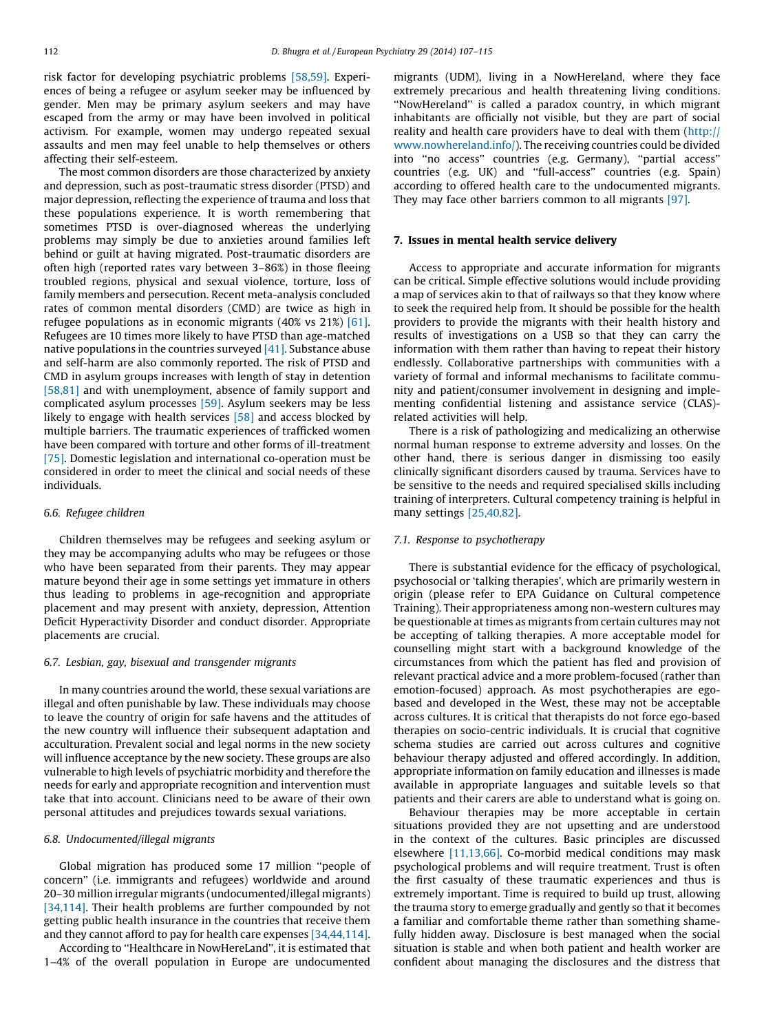risk factor for developing psychiatric problems [\[58,59\]](#page-7-0). Experiences of being a refugee or asylum seeker may be influenced by gender. Men may be primary asylum seekers and may have escaped from the army or may have been involved in political activism. For example, women may undergo repeated sexual assaults and men may feel unable to help themselves or others affecting their self-esteem.

The most common disorders are those characterized by anxiety and depression, such as post-traumatic stress disorder (PTSD) and major depression, reflecting the experience of trauma and loss that these populations experience. It is worth remembering that sometimes PTSD is over-diagnosed whereas the underlying problems may simply be due to anxieties around families left behind or guilt at having migrated. Post-traumatic disorders are often high (reported rates vary between 3–86%) in those fleeing troubled regions, physical and sexual violence, torture, loss of family members and persecution. Recent meta-analysis concluded rates of common mental disorders (CMD) are twice as high in refugee populations as in economic migrants (40% vs 21%) [\[61\].](#page-8-0) Refugees are 10 times more likely to have PTSD than age-matched native populations in the countries surveyed  $[41]$ . Substance abuse and self-harm are also commonly reported. The risk of PTSD and CMD in asylum groups increases with length of stay in detention [\[58,81\]](#page-7-0) and with unemployment, absence of family support and complicated asylum processes [\[59\]](#page-7-0). Asylum seekers may be less likely to engage with health services [\[58\]](#page-7-0) and access blocked by multiple barriers. The traumatic experiences of trafficked women have been compared with torture and other forms of ill-treatment [\[75\]](#page-8-0). Domestic legislation and international co-operation must be considered in order to meet the clinical and social needs of these individuals.

# 6.6. Refugee children

Children themselves may be refugees and seeking asylum or they may be accompanying adults who may be refugees or those who have been separated from their parents. They may appear mature beyond their age in some settings yet immature in others thus leading to problems in age-recognition and appropriate placement and may present with anxiety, depression, Attention Deficit Hyperactivity Disorder and conduct disorder. Appropriate placements are crucial.

#### 6.7. Lesbian, gay, bisexual and transgender migrants

In many countries around the world, these sexual variations are illegal and often punishable by law. These individuals may choose to leave the country of origin for safe havens and the attitudes of the new country will influence their subsequent adaptation and acculturation. Prevalent social and legal norms in the new society will influence acceptance by the new society. These groups are also vulnerable to high levels of psychiatric morbidity and therefore the needs for early and appropriate recognition and intervention must take that into account. Clinicians need to be aware of their own personal attitudes and prejudices towards sexual variations.

## 6.8. Undocumented/illegal migrants

Global migration has produced some 17 million ''people of concern'' (i.e. immigrants and refugees) worldwide and around 20–30 million irregular migrants (undocumented/illegal migrants) [\[34,114\].](#page-7-0) Their health problems are further compounded by not getting public health insurance in the countries that receive them and they cannot afford to pay for health care expenses [\[34,44,114\].](#page-7-0)

According to ''Healthcare in NowHereLand'', it is estimated that 1–4% of the overall population in Europe are undocumented migrants (UDM), living in a NowHereland, where they face extremely precarious and health threatening living conditions. ''NowHereland'' is called a paradox country, in which migrant inhabitants are officially not visible, but they are part of social reality and health care providers have to deal with them ([http://](http://www.nowhereland.info/) [www.nowhereland.info/](http://www.nowhereland.info/)). The receiving countries could be divided into ''no access'' countries (e.g. Germany), ''partial access'' countries (e.g. UK) and ''full-access'' countries (e.g. Spain) according to offered health care to the undocumented migrants. They may face other barriers common to all migrants [\[97\].](#page-8-0)

#### 7. Issues in mental health service delivery

Access to appropriate and accurate information for migrants can be critical. Simple effective solutions would include providing a map of services akin to that of railways so that they know where to seek the required help from. It should be possible for the health providers to provide the migrants with their health history and results of investigations on a USB so that they can carry the information with them rather than having to repeat their history endlessly. Collaborative partnerships with communities with a variety of formal and informal mechanisms to facilitate community and patient/consumer involvement in designing and implementing confidential listening and assistance service (CLAS) related activities will help.

There is a risk of pathologizing and medicalizing an otherwise normal human response to extreme adversity and losses. On the other hand, there is serious danger in dismissing too easily clinically significant disorders caused by trauma. Services have to be sensitive to the needs and required specialised skills including training of interpreters. Cultural competency training is helpful in many settings [\[25,40,82\]](#page-7-0).

# 7.1. Response to psychotherapy

There is substantial evidence for the efficacy of psychological, psychosocial or 'talking therapies', which are primarily western in origin (please refer to EPA Guidance on Cultural competence Training). Their appropriateness among non-western cultures may be questionable at times as migrants from certain cultures may not be accepting of talking therapies. A more acceptable model for counselling might start with a background knowledge of the circumstances from which the patient has fled and provision of relevant practical advice and a more problem-focused (rather than emotion-focused) approach. As most psychotherapies are egobased and developed in the West, these may not be acceptable across cultures. It is critical that therapists do not force ego-based therapies on socio-centric individuals. It is crucial that cognitive schema studies are carried out across cultures and cognitive behaviour therapy adjusted and offered accordingly. In addition, appropriate information on family education and illnesses is made available in appropriate languages and suitable levels so that patients and their carers are able to understand what is going on.

Behaviour therapies may be more acceptable in certain situations provided they are not upsetting and are understood in the context of the cultures. Basic principles are discussed elsewhere [\[11,13,66\]](#page-7-0). Co-morbid medical conditions may mask psychological problems and will require treatment. Trust is often the first casualty of these traumatic experiences and thus is extremely important. Time is required to build up trust, allowing the trauma story to emerge gradually and gently so that it becomes a familiar and comfortable theme rather than something shamefully hidden away. Disclosure is best managed when the social situation is stable and when both patient and health worker are confident about managing the disclosures and the distress that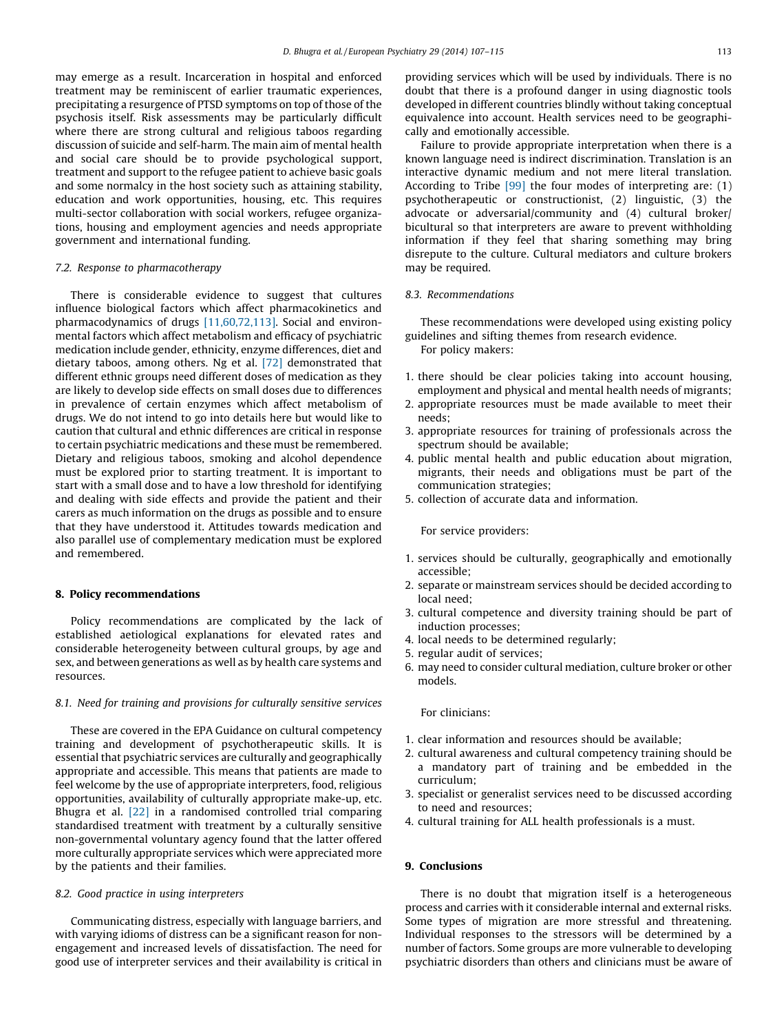may emerge as a result. Incarceration in hospital and enforced treatment may be reminiscent of earlier traumatic experiences, precipitating a resurgence of PTSD symptoms on top of those of the psychosis itself. Risk assessments may be particularly difficult where there are strong cultural and religious taboos regarding discussion of suicide and self-harm. The main aim of mental health and social care should be to provide psychological support, treatment and support to the refugee patient to achieve basic goals and some normalcy in the host society such as attaining stability, education and work opportunities, housing, etc. This requires multi-sector collaboration with social workers, refugee organizations, housing and employment agencies and needs appropriate government and international funding.

#### 7.2. Response to pharmacotherapy

There is considerable evidence to suggest that cultures influence biological factors which affect pharmacokinetics and pharmacodynamics of drugs [\[11,60,72,113\].](#page-7-0) Social and environmental factors which affect metabolism and efficacy of psychiatric medication include gender, ethnicity, enzyme differences, diet and dietary taboos, among others. Ng et al. [\[72\]](#page-8-0) demonstrated that different ethnic groups need different doses of medication as they are likely to develop side effects on small doses due to differences in prevalence of certain enzymes which affect metabolism of drugs. We do not intend to go into details here but would like to caution that cultural and ethnic differences are critical in response to certain psychiatric medications and these must be remembered. Dietary and religious taboos, smoking and alcohol dependence must be explored prior to starting treatment. It is important to start with a small dose and to have a low threshold for identifying and dealing with side effects and provide the patient and their carers as much information on the drugs as possible and to ensure that they have understood it. Attitudes towards medication and also parallel use of complementary medication must be explored and remembered.

#### 8. Policy recommendations

Policy recommendations are complicated by the lack of established aetiological explanations for elevated rates and considerable heterogeneity between cultural groups, by age and sex, and between generations as well as by health care systems and resources.

#### 8.1. Need for training and provisions for culturally sensitive services

These are covered in the EPA Guidance on cultural competency training and development of psychotherapeutic skills. It is essential that psychiatric services are culturally and geographically appropriate and accessible. This means that patients are made to feel welcome by the use of appropriate interpreters, food, religious opportunities, availability of culturally appropriate make-up, etc. Bhugra et al. [\[22\]](#page-7-0) in a randomised controlled trial comparing standardised treatment with treatment by a culturally sensitive non-governmental voluntary agency found that the latter offered more culturally appropriate services which were appreciated more by the patients and their families.

#### 8.2. Good practice in using interpreters

Communicating distress, especially with language barriers, and with varying idioms of distress can be a significant reason for nonengagement and increased levels of dissatisfaction. The need for good use of interpreter services and their availability is critical in providing services which will be used by individuals. There is no doubt that there is a profound danger in using diagnostic tools developed in different countries blindly without taking conceptual equivalence into account. Health services need to be geographically and emotionally accessible.

Failure to provide appropriate interpretation when there is a known language need is indirect discrimination. Translation is an interactive dynamic medium and not mere literal translation. According to Tribe [\[99\]](#page-8-0) the four modes of interpreting are: (1) psychotherapeutic or constructionist, (2) linguistic, (3) the advocate or adversarial/community and (4) cultural broker/ bicultural so that interpreters are aware to prevent withholding information if they feel that sharing something may bring disrepute to the culture. Cultural mediators and culture brokers may be required.

# 8.3. Recommendations

These recommendations were developed using existing policy guidelines and sifting themes from research evidence.

For policy makers:

- 1. there should be clear policies taking into account housing, employment and physical and mental health needs of migrants;
- 2. appropriate resources must be made available to meet their needs;
- 3. appropriate resources for training of professionals across the spectrum should be available;
- 4. public mental health and public education about migration, migrants, their needs and obligations must be part of the communication strategies;
- 5. collection of accurate data and information.

For service providers:

- 1. services should be culturally, geographically and emotionally accessible;
- 2. separate or mainstream services should be decided according to local need;
- 3. cultural competence and diversity training should be part of induction processes;
- 4. local needs to be determined regularly;
- 5. regular audit of services;
- 6. may need to consider cultural mediation, culture broker or other models.

For clinicians:

- 1. clear information and resources should be available;
- 2. cultural awareness and cultural competency training should be a mandatory part of training and be embedded in the curriculum;
- 3. specialist or generalist services need to be discussed according to need and resources;
- 4. cultural training for ALL health professionals is a must.

# 9. Conclusions

There is no doubt that migration itself is a heterogeneous process and carries with it considerable internal and external risks. Some types of migration are more stressful and threatening. Individual responses to the stressors will be determined by a number of factors. Some groups are more vulnerable to developing psychiatric disorders than others and clinicians must be aware of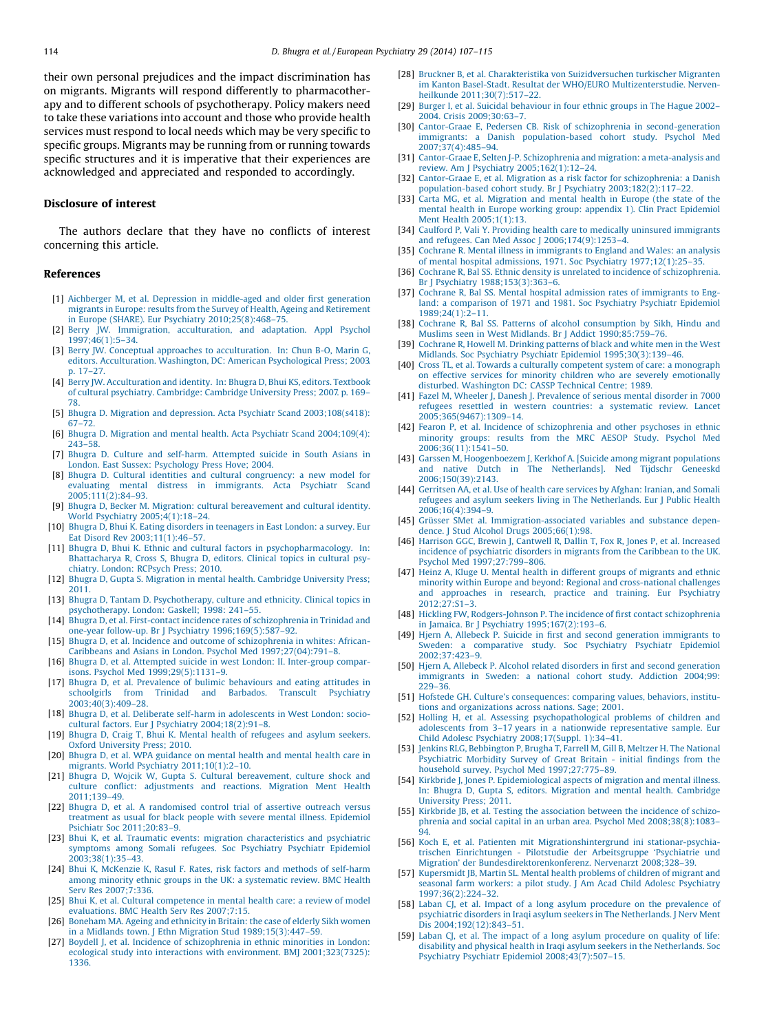<span id="page-7-0"></span>their own personal prejudices and the impact discrimination has on migrants. Migrants will respond differently to pharmacotherapy and to different schools of psychotherapy. Policy makers need to take these variations into account and those who provide health services must respond to local needs which may be very specific to specific groups. Migrants may be running from or running towards specific structures and it is imperative that their experiences are acknowledged and appreciated and responded to accordingly.

# Disclosure of interest

The authors declare that they have no conflicts of interest concerning this article.

#### References

- [1] Aichberger M, et al. Depression in [middle-aged](http://refhub.elsevier.com/S0924-9338(14)00005-4/sbref0005) and older first generation migrants in Europe: results from the Survey of Health, Ageing and [Retirement](http://refhub.elsevier.com/S0924-9338(14)00005-4/sbref0005) in Europe (SHARE). Eur Psychiatry [2010;25\(8\):468–75.](http://refhub.elsevier.com/S0924-9338(14)00005-4/sbref0005)
- [2] Berry JW. Immigration, [acculturation,](http://refhub.elsevier.com/S0924-9338(14)00005-4/sbref0010) and adaptation. Appl Psychol [1997;46\(1\):5–34](http://refhub.elsevier.com/S0924-9338(14)00005-4/sbref0010).
- [3] Berry JW. Conceptual approaches to [acculturation.](http://refhub.elsevier.com/S0924-9338(14)00005-4/sbref0015) In: Chun B-O, Marin G, editors. [Acculturation.](http://refhub.elsevier.com/S0924-9338(14)00005-4/sbref0015) Washington, DC: American Psychological Press; 200[3.](http://refhub.elsevier.com/S0924-9338(14)00005-4/sbref0015) p. [17–27](http://refhub.elsevier.com/S0924-9338(14)00005-4/sbref0015).
- [4] Berry JW. [Acculturation](http://refhub.elsevier.com/S0924-9338(14)00005-4/sbref0020) and identity. In: Bhugra D, Bhui KS, editors. Textbook of cultural psychiatry. [Cambridge:](http://refhub.elsevier.com/S0924-9338(14)00005-4/sbref0020) Cambridge University Press; 2007. p. [169–](http://refhub.elsevier.com/S0924-9338(14)00005-4/sbref0020) [78](http://refhub.elsevier.com/S0924-9338(14)00005-4/sbref0020).
- [5] Bhugra D. Migration and depression. Acta Psychiatr Scand [2003;108\(s418\):](http://refhub.elsevier.com/S0924-9338(14)00005-4/sbref0025) [67–72.](http://refhub.elsevier.com/S0924-9338(14)00005-4/sbref0025)
- [6] Bhugra D. Migration and mental health. Acta Psychiatr Scand [2004;109\(4\):](http://refhub.elsevier.com/S0924-9338(14)00005-4/sbref0030) [243–58.](http://refhub.elsevier.com/S0924-9338(14)00005-4/sbref0030)
- [7] Bhugra D. Culture and self-harm. [Attempted](http://refhub.elsevier.com/S0924-9338(14)00005-4/sbref0035) suicide in South Asians in London. East Sussex: [Psychology](http://refhub.elsevier.com/S0924-9338(14)00005-4/sbref0035) Press Hove; 2004.
- [8] Bhugra D. Cultural identities and cultural [congruency:](http://refhub.elsevier.com/S0924-9338(14)00005-4/sbref0040) a new model for evaluating mental distress in [immigrants.](http://refhub.elsevier.com/S0924-9338(14)00005-4/sbref0040) Acta Psychiatr Scand [2005;111\(2\):84–93](http://refhub.elsevier.com/S0924-9338(14)00005-4/sbref0040).
- [9] Bhugra D, Becker M. Migration: cultural [bereavement](http://refhub.elsevier.com/S0924-9338(14)00005-4/sbref0045) and cultural identity. World Psychiatry [2005;4\(1\):18–24.](http://refhub.elsevier.com/S0924-9338(14)00005-4/sbref0045)
- [10] Bhugra D, Bhui K. Eating disorders in [teenagers](http://refhub.elsevier.com/S0924-9338(14)00005-4/sbref0050) in East London: a survey. Eur Eat Disord Rev [2003;11\(1\):46–57](http://refhub.elsevier.com/S0924-9338(14)00005-4/sbref0050).
- [11] Bhugra D, Bhui K. Ethnic and cultural factors in [psychopharmacology.](http://refhub.elsevier.com/S0924-9338(14)00005-4/sbref0055) In: [Bhattacharya](http://refhub.elsevier.com/S0924-9338(14)00005-4/sbref0055) R, Cross S, Bhugra D, editors. Clinical topics in cultural psychiatry. London: [RCPsych](http://refhub.elsevier.com/S0924-9338(14)00005-4/sbref0055) Press; 2010.
- [12] Bhugra D, Gupta S. Migration in mental health. [Cambridge](http://refhub.elsevier.com/S0924-9338(14)00005-4/sbref0060) University Press; [2011](http://refhub.elsevier.com/S0924-9338(14)00005-4/sbref0060).
- [13] Bhugra D, Tantam D. [Psychotherapy,](http://refhub.elsevier.com/S0924-9338(14)00005-4/sbref0065) culture and ethnicity. Clinical topics in [psychotherapy.](http://refhub.elsevier.com/S0924-9338(14)00005-4/sbref0065) London: Gaskell; 1998: [241–55](http://refhub.elsevier.com/S0924-9338(14)00005-4/sbref0065).
- [14] Bhugra D, et al. First-contact incidence rates of [schizophrenia](http://refhub.elsevier.com/S0924-9338(14)00005-4/sbref0070) in Trinidad and one-year follow-up. Br J Psychiatry [1996;169\(5\):587–92.](http://refhub.elsevier.com/S0924-9338(14)00005-4/sbref0070)
- [15] Bhugra D, et al. Incidence and outcome of [schizophrenia](http://refhub.elsevier.com/S0924-9338(14)00005-4/sbref0075) in whites: African-Caribbeans and Asians in London. Psychol Med [1997;27\(04\):791–8](http://refhub.elsevier.com/S0924-9338(14)00005-4/sbref0075).
- [16] Bhugra D, et al. Attempted suicide in west London: II. [Inter-group](http://refhub.elsevier.com/S0924-9338(14)00005-4/sbref0080) comparisons. Psychol Med [1999;29\(5\):1131–9](http://refhub.elsevier.com/S0924-9338(14)00005-4/sbref0080).
- [17] Bhugra D, et al. Prevalence of bulimic [behaviours](http://refhub.elsevier.com/S0924-9338(14)00005-4/sbref0085) and eating attitudes in [schoolgirls](http://refhub.elsevier.com/S0924-9338(14)00005-4/sbref0085) from Trinidad and Barbados. [2003;40\(3\):409–28](http://refhub.elsevier.com/S0924-9338(14)00005-4/sbref0085).
- [18] Bhugra D, et al. Deliberate self-harm in [adolescents](http://refhub.elsevier.com/S0924-9338(14)00005-4/sbref0090) in West London: sociocultural factors. Eur J Psychiatry [2004;18\(2\):91–8](http://refhub.elsevier.com/S0924-9338(14)00005-4/sbref0090).
- [19] Bhugra D, Craig T, Bhui K. Mental health of [refugees](http://refhub.elsevier.com/S0924-9338(14)00005-4/sbref0095) and asylum seekers. Oxford [University](http://refhub.elsevier.com/S0924-9338(14)00005-4/sbref0095) Press; 2010.
- [20] Bhugra D, et al. WPA [guidance](http://refhub.elsevier.com/S0924-9338(14)00005-4/sbref0100) on mental health and mental health care in migrants. World Psychiatry [2011;10\(1\):2–10](http://refhub.elsevier.com/S0924-9338(14)00005-4/sbref0100).
- [21] Bhugra D, Wojcik W, Gupta S. Cultural [bereavement,](http://refhub.elsevier.com/S0924-9338(14)00005-4/sbref0105) culture shock and culture conflict: [adjustments](http://refhub.elsevier.com/S0924-9338(14)00005-4/sbref0105) and reactions. Migration Ment Health  $2011:139-49.$
- [22] Bhugra D, et al. A [randomised](http://refhub.elsevier.com/S0924-9338(14)00005-4/sbref0110) control trial of assertive outreach versus treatment as usual for black people with severe mental illness. [Epidemiol](http://refhub.elsevier.com/S0924-9338(14)00005-4/sbref0110) Psichiatr Soc [2011;20:83–9](http://refhub.elsevier.com/S0924-9338(14)00005-4/sbref0110).
- [23] Bhui K, et al. Traumatic events: migration [characteristics](http://refhub.elsevier.com/S0924-9338(14)00005-4/sbref0115) and psychiatric [symptoms](http://refhub.elsevier.com/S0924-9338(14)00005-4/sbref0115) among Somali refugees. Soc Psychiatry Psychiatr Epidemiol [2003;38\(1\):35–43.](http://refhub.elsevier.com/S0924-9338(14)00005-4/sbref0115)
- [24] Bhui K, [McKenzie](http://refhub.elsevier.com/S0924-9338(14)00005-4/sbref0120) K, Rasul F. Rates, risk factors and methods of self-harm among minority ethnic groups in the UK: a [systematic](http://refhub.elsevier.com/S0924-9338(14)00005-4/sbref0120) review. BMC Health Serv Res [2007;7:336](http://refhub.elsevier.com/S0924-9338(14)00005-4/sbref0120).
- [25] Bhui K, et al. Cultural [competence](http://refhub.elsevier.com/S0924-9338(14)00005-4/sbref0125) in mental health care: a review of model [evaluations.](http://refhub.elsevier.com/S0924-9338(14)00005-4/sbref0125) BMC Health Serv Res 2007;7:15.
- [26] [Boneham](http://refhub.elsevier.com/S0924-9338(14)00005-4/sbref0130) MA. Ageing and ethnicity in Britain: the case of elderly Sikh women in a Midlands town. J Ethn Migration Stud [1989;15\(3\):447–59](http://refhub.elsevier.com/S0924-9338(14)00005-4/sbref0130).
- [27] Boydell J, et al. Incidence of [schizophrenia](http://refhub.elsevier.com/S0924-9338(14)00005-4/sbref0135) in ethnic minorities in London: ecological study into interactions with environment. BMJ [2001;323\(7325\):](http://refhub.elsevier.com/S0924-9338(14)00005-4/sbref0135) [1336](http://refhub.elsevier.com/S0924-9338(14)00005-4/sbref0135).
- [28] Bruckner B, et al. Charakteristika von [Suizidversuchen](http://refhub.elsevier.com/S0924-9338(14)00005-4/sbref0140) turkischer Migranten im Kanton Basel-Stadt. Resultat der WHO/EURO [Multizenterstudie.](http://refhub.elsevier.com/S0924-9338(14)00005-4/sbref0140) Nervenheilkunde [2011;30\(7\):517–22](http://refhub.elsevier.com/S0924-9338(14)00005-4/sbref0140).
- [29] Burger I, et al. Suicidal [behaviour](http://refhub.elsevier.com/S0924-9338(14)00005-4/sbref0145) in four ethnic groups in The Hague 2002– 2004. Crisis [2009;30:63–7.](http://refhub.elsevier.com/S0924-9338(14)00005-4/sbref0145)
- [30] Cantor-Graae E, Pedersen CB. Risk of schizophrenia in [second-generation](http://refhub.elsevier.com/S0924-9338(14)00005-4/sbref0150) immigrants: a Danish [population-based](http://refhub.elsevier.com/S0924-9338(14)00005-4/sbref0150) cohort study. Psychol Med [2007;37\(4\):485–94.](http://refhub.elsevier.com/S0924-9338(14)00005-4/sbref0150)
- [31] Cantor-Graae E, Selten J-P. [Schizophrenia](http://refhub.elsevier.com/S0924-9338(14)00005-4/sbref0155) and migration: a meta-analysis and review. Am J Psychiatry [2005;162\(1\):12–24](http://refhub.elsevier.com/S0924-9338(14)00005-4/sbref0155).
- [32] Cantor-Graae E, et al. Migration as a risk factor for [schizophrenia:](http://refhub.elsevier.com/S0924-9338(14)00005-4/sbref0160) a Danish population-based cohort study. Br J Psychiatry [2003;182\(2\):117–22](http://refhub.elsevier.com/S0924-9338(14)00005-4/sbref0160).
- [33] Carta MG, et al. [Migration](http://refhub.elsevier.com/S0924-9338(14)00005-4/sbref0165) and mental health in Europe (the state of the mental health in Europe working group: appendix 1). Clin Pract [Epidemiol](http://refhub.elsevier.com/S0924-9338(14)00005-4/sbref0165) Ment Health [2005;1\(1\):13](http://refhub.elsevier.com/S0924-9338(14)00005-4/sbref0165).
- [34] Caulford P, Vali Y. Providing health care to medically uninsured [immigrants](http://refhub.elsevier.com/S0924-9338(14)00005-4/sbref0170) and refugees. Can Med Assoc J 2006;174(9):1253-4
- [35] Cochrane R. Mental illness in [immigrants](http://refhub.elsevier.com/S0924-9338(14)00005-4/sbref0175) to England and Wales: an analysis of mental hospital admissions, 1971. Soc Psychiatry [1977;12\(1\):25–35](http://refhub.elsevier.com/S0924-9338(14)00005-4/sbref0175).
- [36] Cochrane R, Bal SS. Ethnic density is unrelated to incidence of [schizophrenia.](http://refhub.elsevier.com/S0924-9338(14)00005-4/sbref0180) Br J Psychiatry [1988;153\(3\):363–6.](http://refhub.elsevier.com/S0924-9338(14)00005-4/sbref0180)
- [37] Cochrane R, Bal SS. Mental hospital admission rates of [immigrants](http://refhub.elsevier.com/S0924-9338(14)00005-4/sbref0185) to England: a [comparison](http://refhub.elsevier.com/S0924-9338(14)00005-4/sbref0185) of 1971 and 1981. Soc Psychiatry Psychiatr Epidemiol [1989;24\(1\):2–11](http://refhub.elsevier.com/S0924-9338(14)00005-4/sbref0185).
- [38] Cochrane R, Bal SS. Patterns of alcohol [consumption](http://refhub.elsevier.com/S0924-9338(14)00005-4/sbref0190) by Sikh, Hindu and Muslims seen in West Midlands. Br J Addict [1990;85:759–76](http://refhub.elsevier.com/S0924-9338(14)00005-4/sbref0190).
- [39] [Cochrane](http://refhub.elsevier.com/S0924-9338(14)00005-4/sbref0195) R, Howell M. Drinking patterns of black and white men in the West Midlands. Soc Psychiatry Psychiatr Epidemiol [1995;30\(3\):139–46](http://refhub.elsevier.com/S0924-9338(14)00005-4/sbref0195).
- [40] Cross TL, et al. Towards a culturally competent system of care: a [monograph](http://refhub.elsevier.com/S0924-9338(14)00005-4/sbref0200) on effective services for minority children who are severely [emotionally](http://refhub.elsevier.com/S0924-9338(14)00005-4/sbref0200) disturbed. [Washington](http://refhub.elsevier.com/S0924-9338(14)00005-4/sbref0200) DC: CASSP Technical Centre; 1989.
- [41] Fazel M, Wheeler J, Danesh J. [Prevalence](http://refhub.elsevier.com/S0924-9338(14)00005-4/sbref0205) of serious mental disorder in 7000 refugees resettled in western countries: a [systematic](http://refhub.elsevier.com/S0924-9338(14)00005-4/sbref0205) review. Lancet [2005;365\(9467\):1309–14.](http://refhub.elsevier.com/S0924-9338(14)00005-4/sbref0205)
- [42] Fearon P, et al. Incidence of [schizophrenia](http://refhub.elsevier.com/S0924-9338(14)00005-4/sbref0210) and other psychoses in ethnic [minority](http://refhub.elsevier.com/S0924-9338(14)00005-4/sbref0210) groups: results from the MRC AESOP Study. Psychol Med [2006;36\(11\):1541–50](http://refhub.elsevier.com/S0924-9338(14)00005-4/sbref0210).
- [43] Garssen M, [Hoogenboezem](http://refhub.elsevier.com/S0924-9338(14)00005-4/sbref0215) J, Kerkhof A, [Suicide among migrant populations] and native Dutch in The [Netherlands\].](http://refhub.elsevier.com/S0924-9338(14)00005-4/sbref0215) Ned Tijdschr Geneeskd [2006;150\(39\):2143.](http://refhub.elsevier.com/S0924-9338(14)00005-4/sbref0215)
- [44] [Gerritsen](http://refhub.elsevier.com/S0924-9338(14)00005-4/sbref0220) AA, et al. Use of health care services by Afghan: Iranian, and Somali refugees and asylum seekers living in The [Netherlands.](http://refhub.elsevier.com/S0924-9338(14)00005-4/sbref0220) Eur J Public Health [2006;16\(4\):394–9.](http://refhub.elsevier.com/S0924-9338(14)00005-4/sbref0220)
- [45] Grüsser SMet al. [Immigration-associated](http://refhub.elsevier.com/S0924-9338(14)00005-4/sbref0225) variables and substance dependence. J Stud Alcohol Drugs [2005;66\(1\):98.](http://refhub.elsevier.com/S0924-9338(14)00005-4/sbref0225)
- [46] Harrison GGC, Brewin J, Cantwell R, Dallin T, Fox R, Jones P, et al. [Increased](http://refhub.elsevier.com/S0924-9338(14)00005-4/sbref0230) incidence of [psychiatric](http://refhub.elsevier.com/S0924-9338(14)00005-4/sbref0230) disorders in migrants from the Caribbean to the UK. Psychol Med [1997;27:799–806](http://refhub.elsevier.com/S0924-9338(14)00005-4/sbref0230).
- [47] Heinz A, Kluge U. Mental health in different groups of [migrants](http://refhub.elsevier.com/S0924-9338(14)00005-4/sbref0235) and ethnic minority within Europe and beyond: Regional and [cross-national](http://refhub.elsevier.com/S0924-9338(14)00005-4/sbref0235) challenges and [approaches](http://refhub.elsevier.com/S0924-9338(14)00005-4/sbref0235) in research, practice and training. Eur Psychiatry [2012;27:S1–3.](http://refhub.elsevier.com/S0924-9338(14)00005-4/sbref0235)
- [48] Hickling FW, [Rodgers-Johnson](http://refhub.elsevier.com/S0924-9338(14)00005-4/sbref0240) P. The incidence of first contact schizophrenia in Jamaica. Br J Psychiatry [1995;167\(2\):193–6.](http://refhub.elsevier.com/S0924-9338(14)00005-4/sbref0240)
- [49] Hjern A, Allebeck P. Suicide in first and second generation [immigrants](http://refhub.elsevier.com/S0924-9338(14)00005-4/sbref0245) to Sweden: a [comparative](http://refhub.elsevier.com/S0924-9338(14)00005-4/sbref0245) study. Soc Psychiatry Psychiatr Epidemiol [2002;37:423–9.](http://refhub.elsevier.com/S0924-9338(14)00005-4/sbref0245)
- [50] Hjern A, Allebeck P. Alcohol related disorders in first and second [generation](http://refhub.elsevier.com/S0924-9338(14)00005-4/sbref0250) [immigrants](http://refhub.elsevier.com/S0924-9338(14)00005-4/sbref0250) in Sweden: a national cohort study. Addiction 2004;99: [229–36.](http://refhub.elsevier.com/S0924-9338(14)00005-4/sbref0250)
- [51] Hofstede GH. Culture's [consequences:](http://refhub.elsevier.com/S0924-9338(14)00005-4/sbref0255) comparing values, behaviors, institutions and [organizations](http://refhub.elsevier.com/S0924-9338(14)00005-4/sbref0255) across nations. Sage; 2001.
- [52] Holling H, et al. Assessing [psychopathological](http://refhub.elsevier.com/S0924-9338(14)00005-4/sbref0260) problems of children and [adolescents](http://refhub.elsevier.com/S0924-9338(14)00005-4/sbref0260) from 3–17 years in a nationwide [representative](http://refhub.elsevier.com/S0924-9338(14)00005-4/sbref0260) sample. Eur Child Adolesc Psychiatry [2008;17\(Suppl.](http://refhub.elsevier.com/S0924-9338(14)00005-4/sbref0260) 1):34–41.
- [53] Jenkins RLG, [Bebbington](http://refhub.elsevier.com/S0924-9338(14)00005-4/sbref0265) P, Brugha T, Farrell M, Gill B, Meltzer H. The National [Psychiatric](http://refhub.elsevier.com/S0924-9338(14)00005-4/sbref0265) Morbidity Survey of Great Britain - initial findings from the household survey. Psychol Med [1997;27:775–89](http://refhub.elsevier.com/S0924-9338(14)00005-4/sbref0265).
- [54] Kirkbride J, Jones P. [Epidemiological](http://refhub.elsevier.com/S0924-9338(14)00005-4/sbref0270) aspects of migration and mental illness. In: Bhugra D, Gupta S, editors. Migration and mental health. [Cambridge](http://refhub.elsevier.com/S0924-9338(14)00005-4/sbref0270) [University](http://refhub.elsevier.com/S0924-9338(14)00005-4/sbref0270) Press; 2011.
- [55] Kirkbride JB, et al. Testing the [association](http://refhub.elsevier.com/S0924-9338(14)00005-4/sbref0275) between the incidence of schizophrenia and social capital in an urban area. Psychol Med [2008;38\(8\):1083–](http://refhub.elsevier.com/S0924-9338(14)00005-4/sbref0275) [94.](http://refhub.elsevier.com/S0924-9338(14)00005-4/sbref0275)
- [56] Koch E, et al. Patienten mit [Migrationshintergrund](http://refhub.elsevier.com/S0924-9338(14)00005-4/sbref0280) ini stationar-psychiatrischen Einrichtungen - Pilotstudie der [Arbeitsgruppe](http://refhub.elsevier.com/S0924-9338(14)00005-4/sbref0280) 'Psychiatrie und Migration' der [Bundesdirektorenkonferenz.](http://refhub.elsevier.com/S0924-9338(14)00005-4/sbref0280) Nervenarzt 2008;328–39.
- [57] [Kupersmidt](http://refhub.elsevier.com/S0924-9338(14)00005-4/sbref0285) JB, Martin SL. Mental health problems of children of migrant and seasonal farm workers: a pilot study. J Am Acad Child Adolesc [Psychiatry](http://refhub.elsevier.com/S0924-9338(14)00005-4/sbref0285) [1997;36\(2\):224–32.](http://refhub.elsevier.com/S0924-9338(14)00005-4/sbref0285)
- [58] Laban CJ, et al. Impact of a long asylum procedure on the [prevalence](http://refhub.elsevier.com/S0924-9338(14)00005-4/sbref0290) of psychiatric disorders in Iraqi asylum seekers in The [Netherlands.](http://refhub.elsevier.com/S0924-9338(14)00005-4/sbref0290) J Nerv Ment Dis [2004;192\(12\):843–51](http://refhub.elsevier.com/S0924-9338(14)00005-4/sbref0290).
- [59] Laban CJ, et al. The impact of a long asylum [procedure](http://refhub.elsevier.com/S0924-9338(14)00005-4/sbref0295) on quality of life: disability and physical health in Iraqi asylum seekers in the [Netherlands.](http://refhub.elsevier.com/S0924-9338(14)00005-4/sbref0295) Soc Psychiatry Psychiatr Epidemiol [2008;43\(7\):507–15](http://refhub.elsevier.com/S0924-9338(14)00005-4/sbref0295).